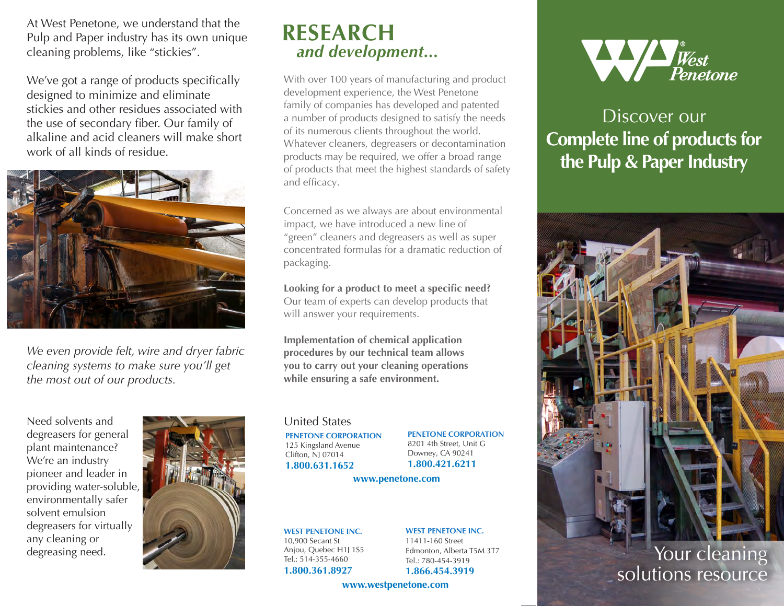At West Penetone, we understand that the Pulp and Paper industry has its own unique cleaning problems, like "stickies".

We've got a range of products specifically designed to minimize and eliminate stickies and other residues associated with the use of secondary fiber. Our family of alkaline and acid cleaners will make short work of all kinds of residue.



*We even provide felt, wire and dryer fabric cleaning systems to make sure you'll get the most out of our products.* 

Need solvents and degreasers for general plant maintenance? We're an industry pioneer and leader in providing water-soluble, environmentally safer solvent emulsion degreasers for virtually any cleaning or degreasing need.



## **RESEARCH**  *and development...*

With over 100 years of manufacturing and product development experience, the West Penetone family of companies has developed and patented a number of products designed to satisfy the needs of its numerous clients throughout the world. Whatever cleaners, degreasers or decontamination products may be required, we offer a broad range of products that meet the highest standards of safety and efficacy.

Concerned as we always are about environmental impact, we have introduced a new line of "green" cleaners and degreasers as well as super concentrated formulas for a dramatic reduction of packaging.

**Looking for a product to meet a specific need?** Our team of experts can develop products that will answer your requirements.

**Implementation of chemical application procedures by our technical team allows you to carry out your cleaning operations while ensuring a safe environment.** 

## United States

**PENETONE CORPORATION** 125 Kingsland Avenue Clifton, NJ 07014 **1.800.631.1652**

**PENETONE CORPORATION** 8201 4th Street, Unit G Downey, CA 90241 **1.800.421.6211**

**www.penetone.com**

**WEST PENETONE INC.** 10,900 Secant St Anjou, Quebec H1J 1S5 Tel.: 514-355-4660 **1.800.361.8927**

**WEST PENETONE INC.** 11411-160 Street Edmonton, Alberta T5M 3T7

Tel.: 780-454-3919 **1.866.454.3919**

**www.westpenetone.com**



## Discover our **Complete line of products for the Pulp & Paper Industry**



Your cleaning solutions resource